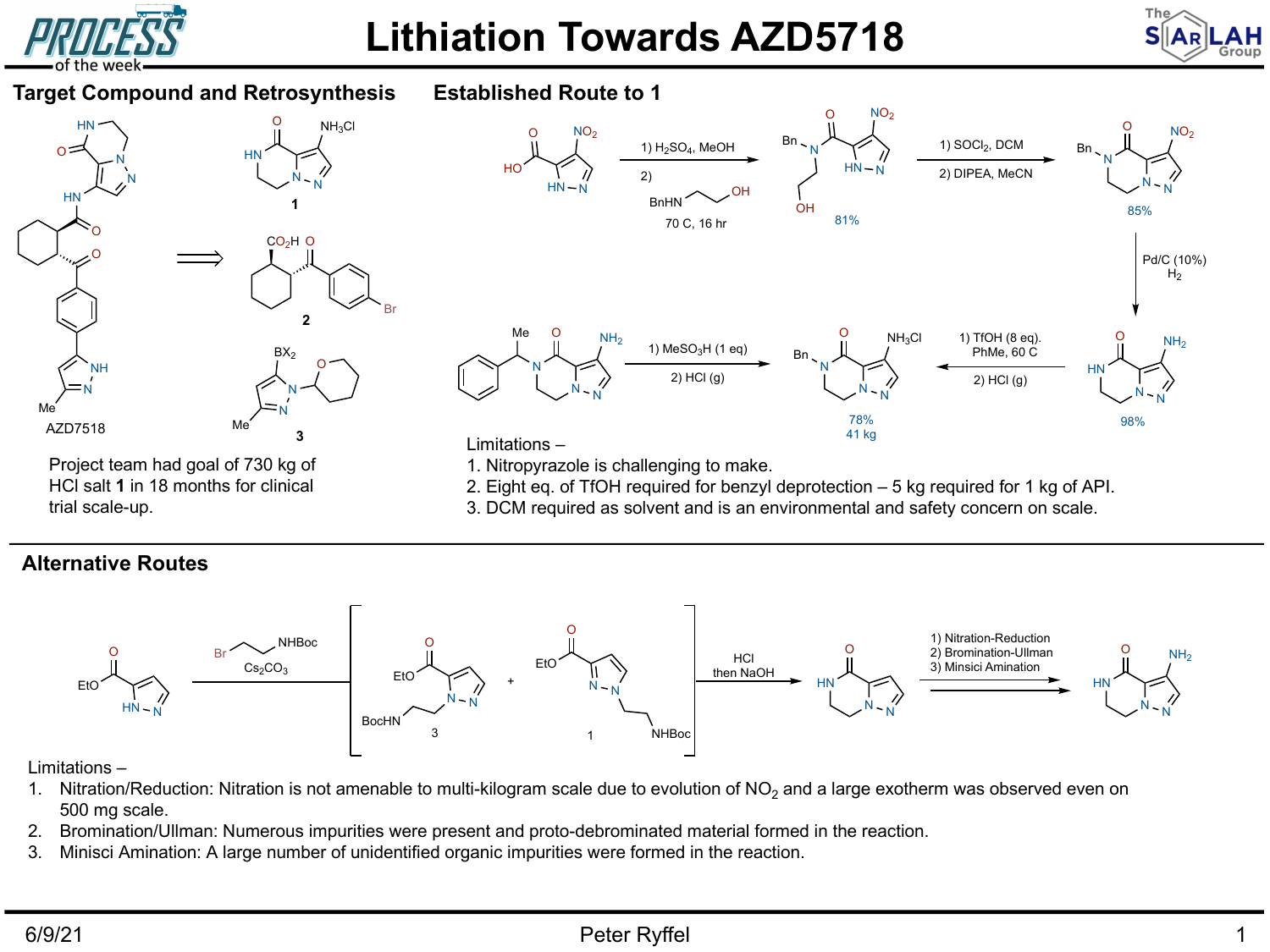

## **Lithiation Towards AZD5718**





3. DCM required as solvent and is an environmental and safety concern on scale.

## **Alternative Routes**



## Limitations –

- 1. Nitration/Reduction: Nitration is not amenable to multi-kilogram scale due to evolution of  $NO<sub>2</sub>$  and a large exotherm was observed even on 500 mg scale.
- 2. Bromination/Ullman: Numerous impurities were present and proto-debrominated material formed in the reaction.
- 3. Minisci Amination: A large number of unidentified organic impurities were formed in the reaction.